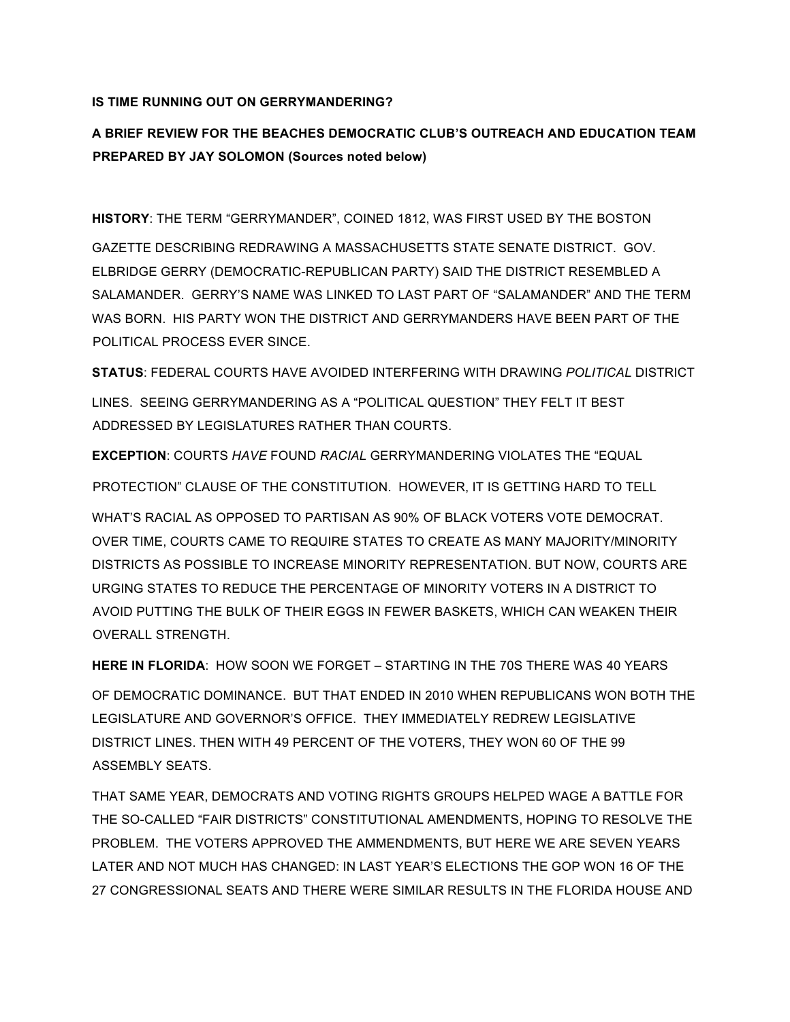## **IS TIME RUNNING OUT ON GERRYMANDERING?**

## **A BRIEF REVIEW FOR THE BEACHES DEMOCRATIC CLUB'S OUTREACH AND EDUCATION TEAM PREPARED BY JAY SOLOMON (Sources noted below)**

**HISTORY**: THE TERM "GERRYMANDER", COINED 1812, WAS FIRST USED BY THE BOSTON

GAZETTE DESCRIBING REDRAWING A MASSACHUSETTS STATE SENATE DISTRICT. GOV. ELBRIDGE GERRY (DEMOCRATIC-REPUBLICAN PARTY) SAID THE DISTRICT RESEMBLED A SALAMANDER. GERRY'S NAME WAS LINKED TO LAST PART OF "SALAMANDER" AND THE TERM WAS BORN. HIS PARTY WON THE DISTRICT AND GERRYMANDERS HAVE BEEN PART OF THE POLITICAL PROCESS EVER SINCE.

**STATUS**: FEDERAL COURTS HAVE AVOIDED INTERFERING WITH DRAWING *POLITICAL* DISTRICT LINES. SEEING GERRYMANDERING AS A "POLITICAL QUESTION" THEY FELT IT BEST ADDRESSED BY LEGISLATURES RATHER THAN COURTS.

**EXCEPTION**: COURTS *HAVE* FOUND *RACIAL* GERRYMANDERING VIOLATES THE "EQUAL

PROTECTION" CLAUSE OF THE CONSTITUTION. HOWEVER, IT IS GETTING HARD TO TELL

WHAT'S RACIAL AS OPPOSED TO PARTISAN AS 90% OF BLACK VOTERS VOTE DEMOCRAT. OVER TIME, COURTS CAME TO REQUIRE STATES TO CREATE AS MANY MAJORITY/MINORITY DISTRICTS AS POSSIBLE TO INCREASE MINORITY REPRESENTATION. BUT NOW, COURTS ARE URGING STATES TO REDUCE THE PERCENTAGE OF MINORITY VOTERS IN A DISTRICT TO AVOID PUTTING THE BULK OF THEIR EGGS IN FEWER BASKETS, WHICH CAN WEAKEN THEIR OVERALL STRENGTH.

**HERE IN FLORIDA**: HOW SOON WE FORGET – STARTING IN THE 70S THERE WAS 40 YEARS OF DEMOCRATIC DOMINANCE. BUT THAT ENDED IN 2010 WHEN REPUBLICANS WON BOTH THE LEGISLATURE AND GOVERNOR'S OFFICE. THEY IMMEDIATELY REDREW LEGISLATIVE DISTRICT LINES. THEN WITH 49 PERCENT OF THE VOTERS, THEY WON 60 OF THE 99 ASSEMBLY SEATS.

THAT SAME YEAR, DEMOCRATS AND VOTING RIGHTS GROUPS HELPED WAGE A BATTLE FOR THE SO-CALLED "FAIR DISTRICTS" CONSTITUTIONAL AMENDMENTS, HOPING TO RESOLVE THE PROBLEM. THE VOTERS APPROVED THE AMMENDMENTS, BUT HERE WE ARE SEVEN YEARS LATER AND NOT MUCH HAS CHANGED: IN LAST YEAR'S ELECTIONS THE GOP WON 16 OF THE 27 CONGRESSIONAL SEATS AND THERE WERE SIMILAR RESULTS IN THE FLORIDA HOUSE AND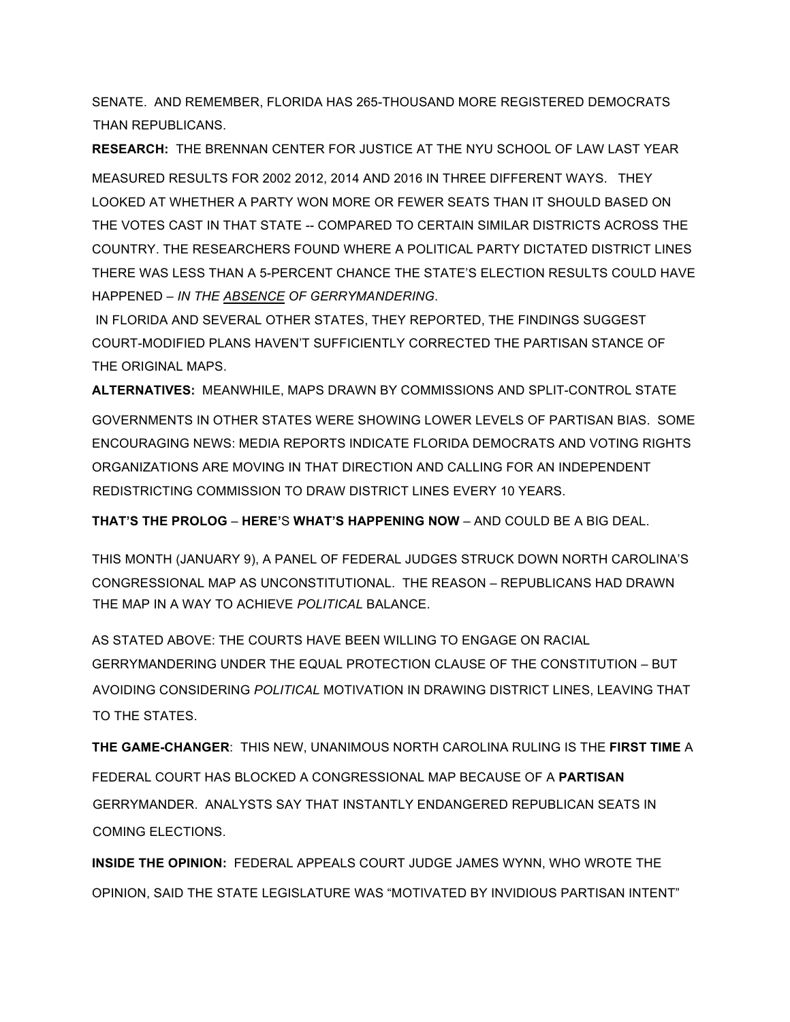SENATE. AND REMEMBER, FLORIDA HAS 265-THOUSAND MORE REGISTERED DEMOCRATS THAN REPUBLICANS.

**RESEARCH:** THE BRENNAN CENTER FOR JUSTICE AT THE NYU SCHOOL OF LAW LAST YEAR MEASURED RESULTS FOR 2002 2012, 2014 AND 2016 IN THREE DIFFERENT WAYS. THEY LOOKED AT WHETHER A PARTY WON MORE OR FEWER SEATS THAN IT SHOULD BASED ON THE VOTES CAST IN THAT STATE -- COMPARED TO CERTAIN SIMILAR DISTRICTS ACROSS THE COUNTRY. THE RESEARCHERS FOUND WHERE A POLITICAL PARTY DICTATED DISTRICT LINES THERE WAS LESS THAN A 5-PERCENT CHANCE THE STATE'S ELECTION RESULTS COULD HAVE HAPPENED – *IN THE ABSENCE OF GERRYMANDERING*.

IN FLORIDA AND SEVERAL OTHER STATES, THEY REPORTED, THE FINDINGS SUGGEST COURT-MODIFIED PLANS HAVEN'T SUFFICIENTLY CORRECTED THE PARTISAN STANCE OF THE ORIGINAL MAPS.

**ALTERNATIVES:** MEANWHILE, MAPS DRAWN BY COMMISSIONS AND SPLIT-CONTROL STATE GOVERNMENTS IN OTHER STATES WERE SHOWING LOWER LEVELS OF PARTISAN BIAS. SOME ENCOURAGING NEWS: MEDIA REPORTS INDICATE FLORIDA DEMOCRATS AND VOTING RIGHTS ORGANIZATIONS ARE MOVING IN THAT DIRECTION AND CALLING FOR AN INDEPENDENT REDISTRICTING COMMISSION TO DRAW DISTRICT LINES EVERY 10 YEARS.

**THAT'S THE PROLOG** – **HERE'**S **WHAT'S HAPPENING NOW** – AND COULD BE A BIG DEAL.

THIS MONTH (JANUARY 9), A PANEL OF FEDERAL JUDGES STRUCK DOWN NORTH CAROLINA'S CONGRESSIONAL MAP AS UNCONSTITUTIONAL. THE REASON – REPUBLICANS HAD DRAWN THE MAP IN A WAY TO ACHIEVE *POLITICAL* BALANCE.

AS STATED ABOVE: THE COURTS HAVE BEEN WILLING TO ENGAGE ON RACIAL GERRYMANDERING UNDER THE EQUAL PROTECTION CLAUSE OF THE CONSTITUTION – BUT AVOIDING CONSIDERING *POLITICAL* MOTIVATION IN DRAWING DISTRICT LINES, LEAVING THAT TO THE STATES.

**THE GAME-CHANGER**: THIS NEW, UNANIMOUS NORTH CAROLINA RULING IS THE **FIRST TIME** A FEDERAL COURT HAS BLOCKED A CONGRESSIONAL MAP BECAUSE OF A **PARTISAN** GERRYMANDER. ANALYSTS SAY THAT INSTANTLY ENDANGERED REPUBLICAN SEATS IN COMING ELECTIONS.

**INSIDE THE OPINION:** FEDERAL APPEALS COURT JUDGE JAMES WYNN, WHO WROTE THE OPINION, SAID THE STATE LEGISLATURE WAS "MOTIVATED BY INVIDIOUS PARTISAN INTENT"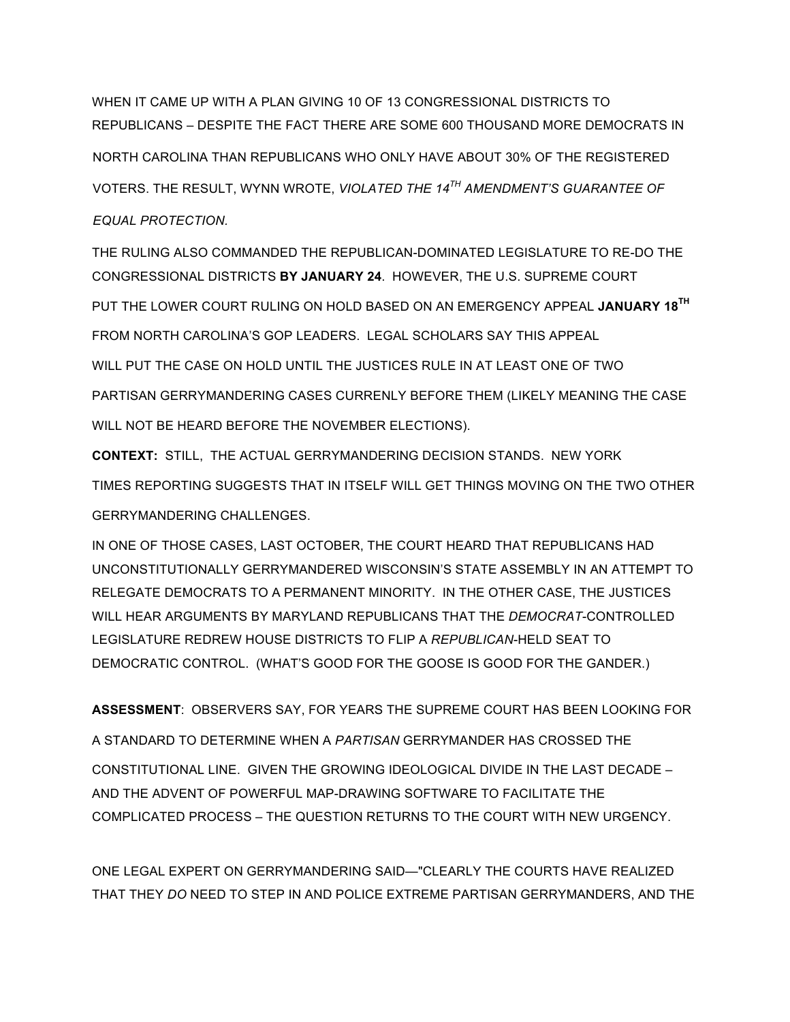WHEN IT CAME UP WITH A PLAN GIVING 10 OF 13 CONGRESSIONAL DISTRICTS TO REPUBLICANS – DESPITE THE FACT THERE ARE SOME 600 THOUSAND MORE DEMOCRATS IN NORTH CAROLINA THAN REPUBLICANS WHO ONLY HAVE ABOUT 30% OF THE REGISTERED VOTERS. THE RESULT, WYNN WROTE, *VIOLATED THE 14TH AMENDMENT'S GUARANTEE OF EQUAL PROTECTION.* 

THE RULING ALSO COMMANDED THE REPUBLICAN-DOMINATED LEGISLATURE TO RE-DO THE CONGRESSIONAL DISTRICTS **BY JANUARY 24**. HOWEVER, THE U.S. SUPREME COURT PUT THE LOWER COURT RULING ON HOLD BASED ON AN EMERGENCY APPEAL **JANUARY 18TH** FROM NORTH CAROLINA'S GOP LEADERS. LEGAL SCHOLARS SAY THIS APPEAL WILL PUT THE CASE ON HOLD UNTIL THE JUSTICES RULE IN AT LEAST ONE OF TWO PARTISAN GERRYMANDERING CASES CURRENLY BEFORE THEM (LIKELY MEANING THE CASE WILL NOT BE HEARD BEFORE THE NOVEMBER ELECTIONS).

**CONTEXT:** STILL, THE ACTUAL GERRYMANDERING DECISION STANDS. NEW YORK TIMES REPORTING SUGGESTS THAT IN ITSELF WILL GET THINGS MOVING ON THE TWO OTHER GERRYMANDERING CHALLENGES.

IN ONE OF THOSE CASES, LAST OCTOBER, THE COURT HEARD THAT REPUBLICANS HAD UNCONSTITUTIONALLY GERRYMANDERED WISCONSIN'S STATE ASSEMBLY IN AN ATTEMPT TO RELEGATE DEMOCRATS TO A PERMANENT MINORITY. IN THE OTHER CASE, THE JUSTICES WILL HEAR ARGUMENTS BY MARYLAND REPUBLICANS THAT THE *DEMOCRAT*-CONTROLLED LEGISLATURE REDREW HOUSE DISTRICTS TO FLIP A *REPUBLICAN*-HELD SEAT TO DEMOCRATIC CONTROL. (WHAT'S GOOD FOR THE GOOSE IS GOOD FOR THE GANDER.)

**ASSESSMENT**: OBSERVERS SAY, FOR YEARS THE SUPREME COURT HAS BEEN LOOKING FOR

A STANDARD TO DETERMINE WHEN A *PARTISAN* GERRYMANDER HAS CROSSED THE CONSTITUTIONAL LINE. GIVEN THE GROWING IDEOLOGICAL DIVIDE IN THE LAST DECADE – AND THE ADVENT OF POWERFUL MAP-DRAWING SOFTWARE TO FACILITATE THE COMPLICATED PROCESS – THE QUESTION RETURNS TO THE COURT WITH NEW URGENCY.

ONE LEGAL EXPERT ON GERRYMANDERING SAID—"CLEARLY THE COURTS HAVE REALIZED THAT THEY *DO* NEED TO STEP IN AND POLICE EXTREME PARTISAN GERRYMANDERS, AND THE